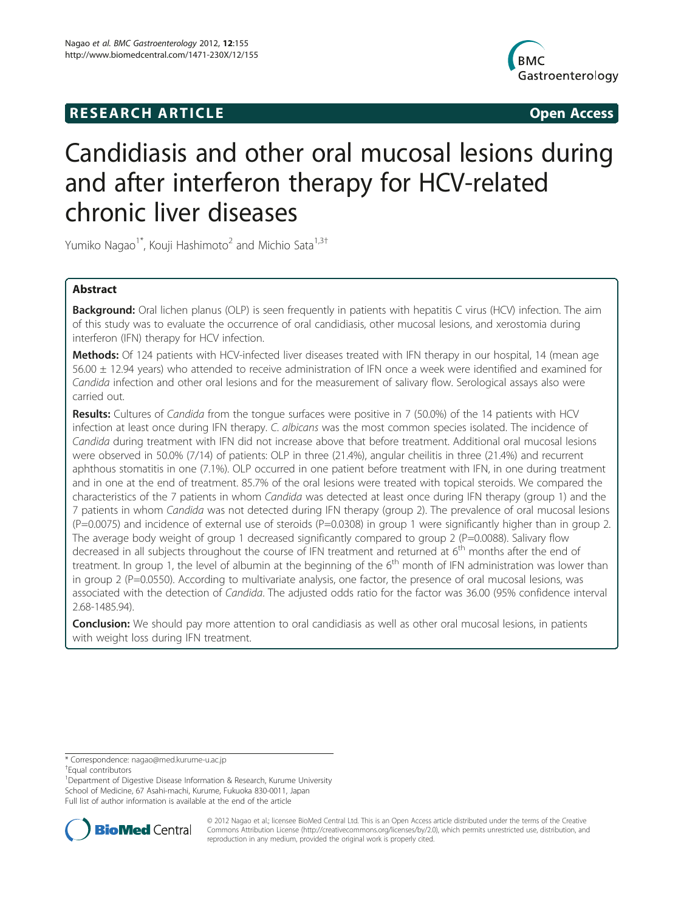## **RESEARCH ARTICLE CONSUMING A RESEARCH ARTICLE**



# Candidiasis and other oral mucosal lesions during and after interferon therapy for HCV-related chronic liver diseases

Yumiko Nagao<sup>1\*</sup>, Kouji Hashimoto<sup>2</sup> and Michio Sata<sup>1,3†</sup>

## Abstract

Background: Oral lichen planus (OLP) is seen frequently in patients with hepatitis C virus (HCV) infection. The aim of this study was to evaluate the occurrence of oral candidiasis, other mucosal lesions, and xerostomia during interferon (IFN) therapy for HCV infection.

Methods: Of 124 patients with HCV-infected liver diseases treated with IFN therapy in our hospital, 14 (mean age 56.00 ± 12.94 years) who attended to receive administration of IFN once a week were identified and examined for Candida infection and other oral lesions and for the measurement of salivary flow. Serological assays also were carried out.

Results: Cultures of Candida from the tongue surfaces were positive in 7 (50.0%) of the 14 patients with HCV infection at least once during IFN therapy. C. albicans was the most common species isolated. The incidence of Candida during treatment with IFN did not increase above that before treatment. Additional oral mucosal lesions were observed in 50.0% (7/14) of patients: OLP in three (21.4%), angular cheilitis in three (21.4%) and recurrent aphthous stomatitis in one (7.1%). OLP occurred in one patient before treatment with IFN, in one during treatment and in one at the end of treatment. 85.7% of the oral lesions were treated with topical steroids. We compared the characteristics of the 7 patients in whom Candida was detected at least once during IFN therapy (group 1) and the 7 patients in whom Candida was not detected during IFN therapy (group 2). The prevalence of oral mucosal lesions  $(P=0.0075)$  and incidence of external use of steroids  $(P=0.0308)$  in group 1 were significantly higher than in group 2. The average body weight of group 1 decreased significantly compared to group 2 ( $P=0.0088$ ). Salivary flow decreased in all subjects throughout the course of IFN treatment and returned at 6<sup>th</sup> months after the end of treatment. In group 1, the level of albumin at the beginning of the  $6<sup>th</sup>$  month of IFN administration was lower than in group 2 (P=0.0550). According to multivariate analysis, one factor, the presence of oral mucosal lesions, was associated with the detection of Candida. The adjusted odds ratio for the factor was 36.00 (95% confidence interval 2.68-1485.94).

**Conclusion:** We should pay more attention to oral candidiasis as well as other oral mucosal lesions, in patients with weight loss during IFN treatment.

\* Correspondence: [nagao@med.kurume-u.ac.jp](mailto:nagao@med.kurume--.ac.jp) †

<sup>+</sup>Equal contributors

<sup>1</sup> Department of Digestive Disease Information & Research, Kurume University School of Medicine, 67 Asahi-machi, Kurume, Fukuoka 830-0011, Japan Full list of author information is available at the end of the article



© 2012 Nagao et al.; licensee BioMed Central Ltd. This is an Open Access article distributed under the terms of the Creative Commons Attribution License [\(http://creativecommons.org/licenses/by/2.0\)](http://creativecommons.org/licenses/by/2.0), which permits unrestricted use, distribution, and reproduction in any medium, provided the original work is properly cited.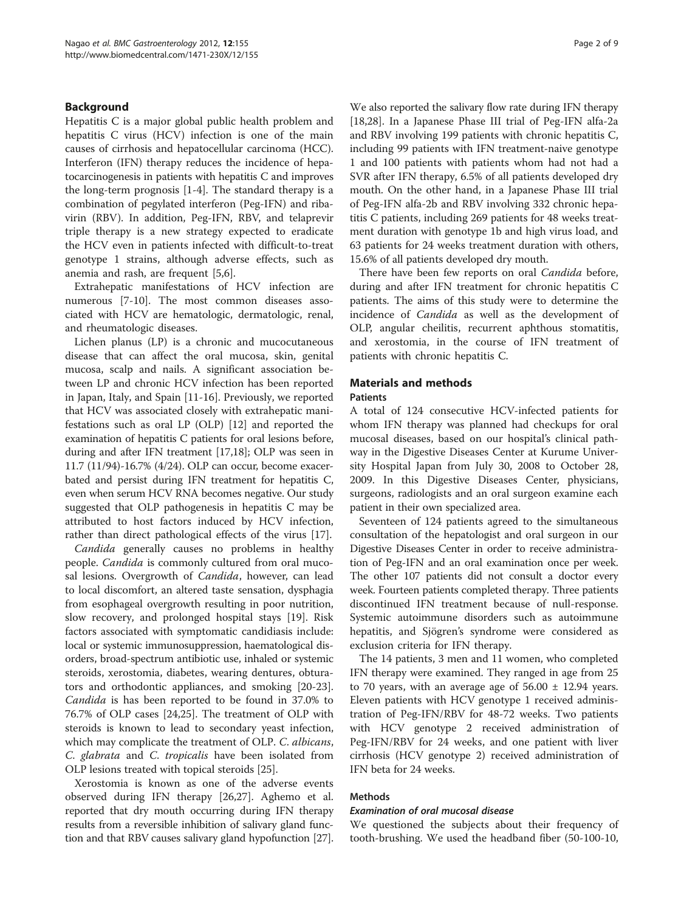## Background

Hepatitis C is a major global public health problem and hepatitis C virus (HCV) infection is one of the main causes of cirrhosis and hepatocellular carcinoma (HCC). Interferon (IFN) therapy reduces the incidence of hepatocarcinogenesis in patients with hepatitis C and improves the long-term prognosis [[1-4](#page-7-0)]. The standard therapy is a combination of pegylated interferon (Peg-IFN) and ribavirin (RBV). In addition, Peg-IFN, RBV, and telaprevir triple therapy is a new strategy expected to eradicate the HCV even in patients infected with difficult-to-treat genotype 1 strains, although adverse effects, such as anemia and rash, are frequent [\[5,6](#page-7-0)].

Extrahepatic manifestations of HCV infection are numerous [[7-10\]](#page-8-0). The most common diseases associated with HCV are hematologic, dermatologic, renal, and rheumatologic diseases.

Lichen planus (LP) is a chronic and mucocutaneous disease that can affect the oral mucosa, skin, genital mucosa, scalp and nails. A significant association between LP and chronic HCV infection has been reported in Japan, Italy, and Spain [[11](#page-8-0)-[16\]](#page-8-0). Previously, we reported that HCV was associated closely with extrahepatic manifestations such as oral LP (OLP) [\[12](#page-8-0)] and reported the examination of hepatitis C patients for oral lesions before, during and after IFN treatment [\[17,18](#page-8-0)]; OLP was seen in 11.7 (11/94)-16.7% (4/24). OLP can occur, become exacerbated and persist during IFN treatment for hepatitis C, even when serum HCV RNA becomes negative. Our study suggested that OLP pathogenesis in hepatitis C may be attributed to host factors induced by HCV infection, rather than direct pathological effects of the virus [\[17\]](#page-8-0).

Candida generally causes no problems in healthy people. Candida is commonly cultured from oral mucosal lesions. Overgrowth of *Candida*, however, can lead to local discomfort, an altered taste sensation, dysphagia from esophageal overgrowth resulting in poor nutrition, slow recovery, and prolonged hospital stays [\[19\]](#page-8-0). Risk factors associated with symptomatic candidiasis include: local or systemic immunosuppression, haematological disorders, broad-spectrum antibiotic use, inhaled or systemic steroids, xerostomia, diabetes, wearing dentures, obturators and orthodontic appliances, and smoking [\[20-23](#page-8-0)]. Candida is has been reported to be found in 37.0% to 76.7% of OLP cases [\[24,25\]](#page-8-0). The treatment of OLP with steroids is known to lead to secondary yeast infection, which may complicate the treatment of OLP. C. albicans, C. glabrata and C. tropicalis have been isolated from OLP lesions treated with topical steroids [\[25\]](#page-8-0).

Xerostomia is known as one of the adverse events observed during IFN therapy [[26,27\]](#page-8-0). Aghemo et al. reported that dry mouth occurring during IFN therapy results from a reversible inhibition of salivary gland function and that RBV causes salivary gland hypofunction [[27](#page-8-0)].

We also reported the salivary flow rate during IFN therapy [[18,28\]](#page-8-0). In a Japanese Phase III trial of Peg-IFN alfa-2a and RBV involving 199 patients with chronic hepatitis C, including 99 patients with IFN treatment-naive genotype 1 and 100 patients with patients whom had not had a SVR after IFN therapy, 6.5% of all patients developed dry mouth. On the other hand, in a Japanese Phase III trial of Peg-IFN alfa-2b and RBV involving 332 chronic hepatitis C patients, including 269 patients for 48 weeks treatment duration with genotype 1b and high virus load, and 63 patients for 24 weeks treatment duration with others, 15.6% of all patients developed dry mouth.

There have been few reports on oral Candida before, during and after IFN treatment for chronic hepatitis C patients. The aims of this study were to determine the incidence of Candida as well as the development of OLP, angular cheilitis, recurrent aphthous stomatitis, and xerostomia, in the course of IFN treatment of patients with chronic hepatitis C.

## Materials and methods

#### **Patients**

A total of 124 consecutive HCV-infected patients for whom IFN therapy was planned had checkups for oral mucosal diseases, based on our hospital's clinical pathway in the Digestive Diseases Center at Kurume University Hospital Japan from July 30, 2008 to October 28, 2009. In this Digestive Diseases Center, physicians, surgeons, radiologists and an oral surgeon examine each patient in their own specialized area.

Seventeen of 124 patients agreed to the simultaneous consultation of the hepatologist and oral surgeon in our Digestive Diseases Center in order to receive administration of Peg-IFN and an oral examination once per week. The other 107 patients did not consult a doctor every week. Fourteen patients completed therapy. Three patients discontinued IFN treatment because of null-response. Systemic autoimmune disorders such as autoimmune hepatitis, and Sjögren's syndrome were considered as exclusion criteria for IFN therapy.

The 14 patients, 3 men and 11 women, who completed IFN therapy were examined. They ranged in age from 25 to 70 years, with an average age of  $56.00 \pm 12.94$  years. Eleven patients with HCV genotype 1 received administration of Peg-IFN/RBV for 48-72 weeks. Two patients with HCV genotype 2 received administration of Peg-IFN/RBV for 24 weeks, and one patient with liver cirrhosis (HCV genotype 2) received administration of IFN beta for 24 weeks.

## Methods

#### Examination of oral mucosal disease

We questioned the subjects about their frequency of tooth-brushing. We used the headband fiber (50-100-10,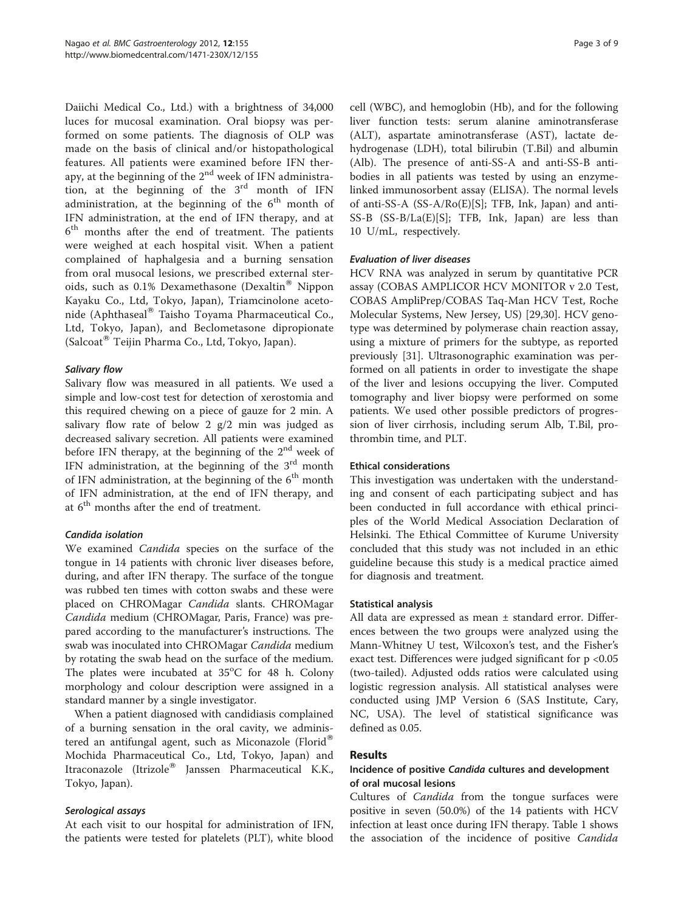Daiichi Medical Co., Ltd.) with a brightness of 34,000 luces for mucosal examination. Oral biopsy was performed on some patients. The diagnosis of OLP was made on the basis of clinical and/or histopathological features. All patients were examined before IFN therapy, at the beginning of the 2<sup>nd</sup> week of IFN administration, at the beginning of the  $3<sup>rd</sup>$  month of IFN administration, at the beginning of the  $6<sup>th</sup>$  month of IFN administration, at the end of IFN therapy, and at 6<sup>th</sup> months after the end of treatment. The patients were weighed at each hospital visit. When a patient complained of haphalgesia and a burning sensation from oral musocal lesions, we prescribed external steroids, such as  $0.1\%$  Dexamethasone (Dexaltin<sup>®</sup> Nippon Kayaku Co., Ltd, Tokyo, Japan), Triamcinolone acetonide (Aphthaseal® Taisho Toyama Pharmaceutical Co., Ltd, Tokyo, Japan), and Beclometasone dipropionate (Salcoat<sup>®</sup> Teijin Pharma Co., Ltd, Tokyo, Japan).

## Salivary flow

Salivary flow was measured in all patients. We used a simple and low-cost test for detection of xerostomia and this required chewing on a piece of gauze for 2 min. A salivary flow rate of below 2  $g/2$  min was judged as decreased salivary secretion. All patients were examined before IFN therapy, at the beginning of the  $2<sup>nd</sup>$  week of IFN administration, at the beginning of the  $3<sup>rd</sup>$  month of IFN administration, at the beginning of the  $6<sup>th</sup>$  month of IFN administration, at the end of IFN therapy, and at  $6<sup>th</sup>$  months after the end of treatment.

## Candida isolation

We examined *Candida* species on the surface of the tongue in 14 patients with chronic liver diseases before, during, and after IFN therapy. The surface of the tongue was rubbed ten times with cotton swabs and these were placed on CHROMagar Candida slants. CHROMagar Candida medium (CHROMagar, Paris, France) was prepared according to the manufacturer's instructions. The swab was inoculated into CHROMagar Candida medium by rotating the swab head on the surface of the medium. The plates were incubated at 35°C for 48 h. Colony morphology and colour description were assigned in a standard manner by a single investigator.

When a patient diagnosed with candidiasis complained of a burning sensation in the oral cavity, we administered an antifungal agent, such as Miconazole (Florid® Mochida Pharmaceutical Co., Ltd, Tokyo, Japan) and Itraconazole (Itrizole<sup>®</sup> Janssen Pharmaceutical K.K., Tokyo, Japan).

#### Serological assays

At each visit to our hospital for administration of IFN, the patients were tested for platelets (PLT), white blood cell (WBC), and hemoglobin (Hb), and for the following liver function tests: serum alanine aminotransferase (ALT), aspartate aminotransferase (AST), lactate dehydrogenase (LDH), total bilirubin (T.Bil) and albumin (Alb). The presence of anti-SS-A and anti-SS-B antibodies in all patients was tested by using an enzymelinked immunosorbent assay (ELISA). The normal levels of anti-SS-A (SS-A/Ro(E)[S]; TFB, Ink, Japan) and anti-SS-B (SS-B/La(E)[S]; TFB, Ink, Japan) are less than 10 U/mL, respectively.

## Evaluation of liver diseases

HCV RNA was analyzed in serum by quantitative PCR assay (COBAS AMPLICOR HCV MONITOR v 2.0 Test, COBAS AmpliPrep/COBAS Taq-Man HCV Test, Roche Molecular Systems, New Jersey, US) [\[29,30\]](#page-8-0). HCV genotype was determined by polymerase chain reaction assay, using a mixture of primers for the subtype, as reported previously [[31\]](#page-8-0). Ultrasonographic examination was performed on all patients in order to investigate the shape of the liver and lesions occupying the liver. Computed tomography and liver biopsy were performed on some patients. We used other possible predictors of progression of liver cirrhosis, including serum Alb, T.Bil, prothrombin time, and PLT.

### Ethical considerations

This investigation was undertaken with the understanding and consent of each participating subject and has been conducted in full accordance with ethical principles of the World Medical Association Declaration of Helsinki. The Ethical Committee of Kurume University concluded that this study was not included in an ethic guideline because this study is a medical practice aimed for diagnosis and treatment.

#### Statistical analysis

All data are expressed as mean ± standard error. Differences between the two groups were analyzed using the Mann-Whitney U test, Wilcoxon's test, and the Fisher's exact test. Differences were judged significant for p <0.05 (two-tailed). Adjusted odds ratios were calculated using logistic regression analysis. All statistical analyses were conducted using JMP Version 6 (SAS Institute, Cary, NC, USA). The level of statistical significance was defined as 0.05.

## Results

## Incidence of positive Candida cultures and development of oral mucosal lesions

Cultures of *Candida* from the tongue surfaces were positive in seven (50.0%) of the 14 patients with HCV infection at least once during IFN therapy. Table [1](#page-3-0) shows the association of the incidence of positive Candida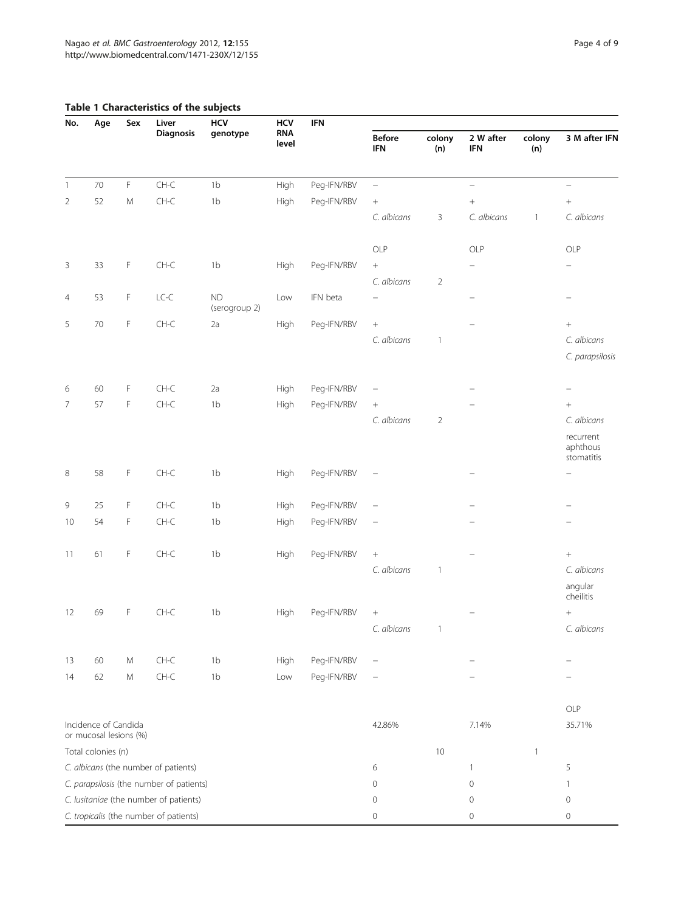## <span id="page-3-0"></span>Table 1 Characteristics of the subjects

| No.                                      | Age                                            | Sex       | Liver<br><b>Diagnosis</b>              | <b>HCV</b><br>genotype | <b>HCV</b><br><b>RNA</b><br>level | <b>IFN</b>  |                             |                |                          |               |                                     |
|------------------------------------------|------------------------------------------------|-----------|----------------------------------------|------------------------|-----------------------------------|-------------|-----------------------------|----------------|--------------------------|---------------|-------------------------------------|
|                                          |                                                |           |                                        |                        |                                   |             | <b>Before</b><br><b>IFN</b> | colony<br>(n)  | 2 W after<br><b>IFN</b>  | colony<br>(n) | 3 M after IFN                       |
| $\overline{1}$                           | 70                                             | F         | $CH-C$                                 | 1 <sub>b</sub>         | High                              | Peg-IFN/RBV | $\equiv$                    |                | $\overline{\phantom{0}}$ |               | $\qquad \qquad -$                   |
| $\overline{2}$                           | 52                                             | ${\sf M}$ | $CH-C$                                 | 1 <sub>b</sub>         | High                              | Peg-IFN/RBV | $^+$                        |                | $\! +$                   |               | $\boldsymbol{+}$                    |
|                                          |                                                |           |                                        |                        |                                   |             | C. albicans                 | 3              | C. albicans              | $\mathbf{1}$  | C. albicans                         |
|                                          |                                                |           |                                        |                        |                                   |             | OLP                         |                | OLP                      |               | OLP                                 |
| 3                                        | 33                                             | F         | $CH-C$                                 | 1 <sub>b</sub>         | High                              | Peg-IFN/RBV | $^+$<br>C. albicans         | $\overline{2}$ |                          |               |                                     |
| $\overline{4}$                           | 53                                             | F         | $LC-C$                                 | ND<br>(serogroup 2)    | Low                               | IFN beta    | $\overline{\phantom{0}}$    |                |                          |               |                                     |
| 5                                        | 70                                             | F         | $CH-C$                                 | 2a                     | High                              | Peg-IFN/RBV | $\! + \!\!\!\!$             |                |                          |               | $^+$                                |
|                                          |                                                |           |                                        |                        |                                   |             | C. albicans                 | $\mathbf{1}$   |                          |               | C. albicans                         |
|                                          |                                                |           |                                        |                        |                                   |             |                             |                |                          |               | C. parapsilosis                     |
| 6                                        | 60                                             | F         | $CH-C$                                 | 2a                     | High                              | Peg-IFN/RBV | $\qquad \qquad -$           |                |                          |               |                                     |
| 7                                        | 57                                             | F         | $CH-C$                                 | 1 <sub>b</sub>         | High                              | Peg-IFN/RBV | $\! + \!\!\!\!$             |                |                          |               | $\boldsymbol{+}$                    |
|                                          |                                                |           |                                        |                        |                                   |             | C. albicans                 | $\overline{2}$ |                          |               | C. albicans                         |
|                                          |                                                |           |                                        |                        |                                   |             |                             |                |                          |               | recurrent<br>aphthous<br>stomatitis |
| 8                                        | 58                                             | F         | $CH-C$                                 | 1 <sub>b</sub>         | High                              | Peg-IFN/RBV |                             |                |                          |               |                                     |
| 9                                        | 25                                             | F         | $CH-C$                                 | 1 <sub>b</sub>         | High                              | Peg-IFN/RBV | $\overline{\phantom{0}}$    |                |                          |               |                                     |
| 10                                       | 54                                             | F         | $CH-C$                                 | 1 <sub>b</sub>         | High                              | Peg-IFN/RBV | $\qquad \qquad -$           |                |                          |               |                                     |
| 11                                       | 61                                             | F         | $CH-C$                                 | 1 <sub>b</sub>         | High                              | Peg-IFN/RBV | $^+$                        |                |                          |               | $\boldsymbol{+}$                    |
|                                          |                                                |           |                                        |                        |                                   |             | C. albicans                 | $\mathbf{1}$   |                          |               | C. albicans                         |
|                                          |                                                |           |                                        |                        |                                   |             |                             |                |                          |               | angular<br>cheilitis                |
| 12                                       | 69                                             | F         | $CH-C$                                 | 1 <sub>b</sub>         | High                              | Peg-IFN/RBV |                             |                |                          |               | $\! + \!$                           |
|                                          |                                                |           |                                        |                        |                                   |             | C. albicans                 | $\overline{1}$ |                          |               | C. albicans                         |
| 13                                       | 60                                             | M         | $CH-C$                                 | 1 <sub>b</sub>         | High                              | Peg-IFN/RBV |                             |                |                          |               |                                     |
| 14                                       | 62                                             | M         | $CH-C$                                 | 1 <sub>b</sub>         | Low                               | Peg-IFN/RBV |                             |                |                          |               |                                     |
|                                          |                                                |           |                                        |                        |                                   |             |                             |                |                          |               |                                     |
|                                          |                                                |           |                                        |                        |                                   |             |                             |                |                          |               | OLP                                 |
|                                          | Incidence of Candida<br>or mucosal lesions (%) |           |                                        |                        |                                   |             | 42.86%                      |                | 7.14%                    |               | 35.71%                              |
|                                          | Total colonies (n)                             |           |                                        |                        |                                   |             |                             | 10             |                          | $\mathbf{1}$  |                                     |
|                                          |                                                |           | C. albicans (the number of patients)   |                        |                                   |             | 6                           |                | $\mathbf{1}$             |               | 5                                   |
| C. parapsilosis (the number of patients) |                                                |           |                                        |                        |                                   | 0           |                             | $\mathbf 0$    |                          | 1             |                                     |
| C. lusitaniae (the number of patients)   |                                                |           |                                        |                        |                                   |             | 0                           |                | 0                        |               | 0                                   |
|                                          |                                                |           | C. tropicalis (the number of patients) |                        |                                   |             | 0                           |                | 0                        |               | $\circ$                             |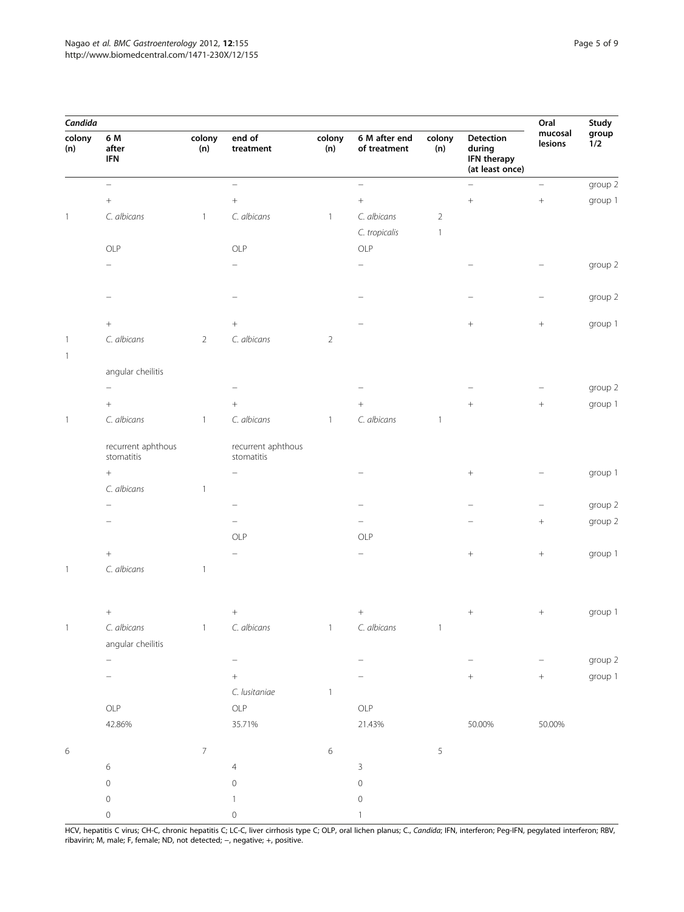| Candida                  |                                             |                |                                  |               |                               |                |                                                       | Oral               | Study        |
|--------------------------|---------------------------------------------|----------------|----------------------------------|---------------|-------------------------------|----------------|-------------------------------------------------------|--------------------|--------------|
| colony<br>(n)            | 6 M<br>after<br>$\ensuremath{\mathsf{IFN}}$ | colony<br>(n)  | end of<br>treatment              | colony<br>(n) | 6 M after end<br>of treatment | colony<br>(n)  | Detection<br>during<br>IFN therapy<br>(at least once) | mucosal<br>lesions | group<br>1/2 |
|                          | $\overline{\phantom{0}}$                    |                | $\overline{\phantom{0}}$         |               | $\overline{a}$                |                | $\overline{\phantom{0}}$                              | $\equiv$           | group 2      |
|                          | $\, +$                                      |                | $^{+}$                           |               | $\boldsymbol{+}$              |                | $\! + \!\!\!\!$                                       | $\! +$             | group 1      |
| $\overline{\phantom{a}}$ | C. albicans                                 | $\mathbf{1}$   | C. albicans                      | $\mathbf{1}$  | C. albicans                   | $\overline{2}$ |                                                       |                    |              |
|                          |                                             |                |                                  |               | C. tropicalis                 | $\mathbf{1}$   |                                                       |                    |              |
|                          | OLP                                         |                | OLP                              |               | OLP                           |                |                                                       |                    |              |
|                          |                                             |                |                                  |               |                               |                |                                                       |                    | group 2      |
|                          |                                             |                |                                  |               |                               |                |                                                       |                    | group 2      |
|                          | $\! +$                                      |                | $\boldsymbol{+}$                 |               |                               |                | $^{+}$                                                | $\! +$             | group 1      |
| $\mathbf{1}$             | C. albicans                                 | $\overline{2}$ | C. albicans                      | $\sqrt{2}$    |                               |                |                                                       |                    |              |
| $\overline{1}$           |                                             |                |                                  |               |                               |                |                                                       |                    |              |
|                          | angular cheilitis                           |                |                                  |               |                               |                |                                                       |                    |              |
|                          |                                             |                |                                  |               |                               |                |                                                       |                    | group 2      |
|                          | $^+$                                        |                | $^{+}$                           |               |                               |                | $^{+}$                                                | $\! + \!\!\!\!$    | group 1      |
| $\overline{\phantom{a}}$ | C. albicans                                 | $\overline{1}$ | C. albicans                      | $\mathbf{1}$  | C. albicans                   | $\mathbf{1}$   |                                                       |                    |              |
|                          | recurrent aphthous<br>stomatitis            |                | recurrent aphthous<br>stomatitis |               |                               |                |                                                       |                    |              |
|                          | $\! + \!\!\!\!$                             |                |                                  |               |                               |                |                                                       |                    | group 1      |
|                          | C. albicans                                 | $\mathbf{1}$   |                                  |               |                               |                |                                                       |                    |              |
|                          |                                             |                |                                  |               |                               |                |                                                       |                    | group 2      |
|                          |                                             |                |                                  |               |                               |                |                                                       | $\! + \!$          | group 2      |
|                          |                                             |                | OLP                              |               | OLP                           |                |                                                       |                    |              |
|                          |                                             |                |                                  |               |                               |                |                                                       | $\! +$             | group 1      |
| $\overline{\phantom{a}}$ | C. albicans                                 | $\overline{1}$ |                                  |               |                               |                |                                                       |                    |              |
|                          |                                             |                |                                  |               |                               |                |                                                       |                    |              |
|                          |                                             |                | $\boldsymbol{+}$                 |               |                               |                |                                                       | $\! + \!\!\!\!$    | group 1      |
|                          | C. albicans                                 | $\mathbf{I}$   | C. albicans                      | <b>H</b>      | C. albicans                   | Т.             |                                                       |                    |              |
|                          | angular cheilitis                           |                |                                  |               |                               |                |                                                       |                    |              |
|                          | $\overline{\phantom{0}}$                    |                | $\overline{\phantom{0}}$         |               |                               |                |                                                       |                    | group 2      |
|                          |                                             |                | $+$                              |               |                               |                | $\! + \!\!\!\!$                                       | $\! + \!$          | group 1      |
|                          |                                             |                | C. lusitaniae                    | $\mathbf{1}$  |                               |                |                                                       |                    |              |
|                          | OLP                                         |                | OLP                              |               | OLP                           |                |                                                       |                    |              |
|                          | 42.86%                                      |                | 35.71%                           |               | 21.43%                        |                | 50.00%                                                | 50.00%             |              |
| $\,$ 6 $\,$              |                                             | $\overline{7}$ |                                  | $\,$ 6 $\,$   |                               | $\sqrt{5}$     |                                                       |                    |              |
|                          | $\epsilon$                                  |                | $\overline{4}$                   |               | 3                             |                |                                                       |                    |              |
|                          | $\mathsf{O}\xspace$                         |                | $\mathbf 0$                      |               | $\mathsf{O}\xspace$           |                |                                                       |                    |              |
|                          | $\mathsf{O}\xspace$                         |                | 1                                |               | $\mathsf{O}\xspace$           |                |                                                       |                    |              |
|                          | $\mathsf{O}\xspace$                         |                | $\mathbf 0$                      |               |                               |                |                                                       |                    |              |

HCV, hepatitis C virus; CH-C, chronic hepatitis C; LC-C, liver cirrhosis type C; OLP, oral lichen planus; C., Candida; IFN, interferon; Peg-IFN, pegylated interferon; RBV, ribavirin; M, male; F, female; ND, not detected; −, negative; +, positive.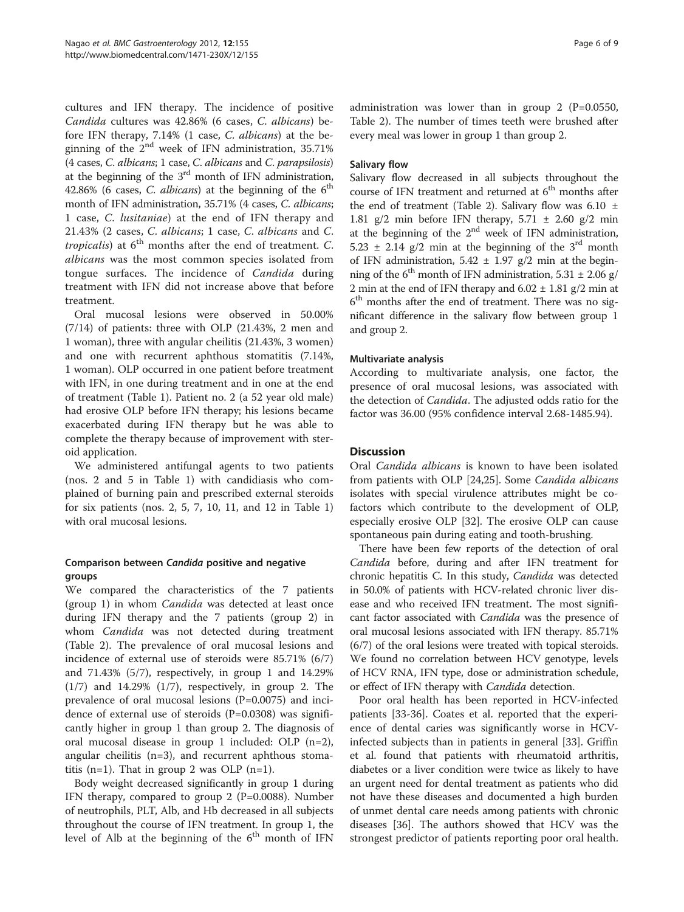cultures and IFN therapy. The incidence of positive Candida cultures was 42.86% (6 cases, C. albicans) before IFN therapy, 7.14% (1 case, C. albicans) at the beginning of the  $2<sup>nd</sup>$  week of IFN administration, 35.71% (4 cases, C. albicans; 1 case, C. albicans and C. parapsilosis) at the beginning of the  $3<sup>rd</sup>$  month of IFN administration, 42.86% (6 cases, C. albicans) at the beginning of the  $6<sup>th</sup>$ month of IFN administration, 35.71% (4 cases, C. albicans; 1 case, C. lusitaniae) at the end of IFN therapy and 21.43% (2 cases, C. albicans; 1 case, C. albicans and C. tropicalis) at  $6<sup>th</sup>$  months after the end of treatment. C. albicans was the most common species isolated from tongue surfaces. The incidence of Candida during treatment with IFN did not increase above that before treatment.

Oral mucosal lesions were observed in 50.00% (7/14) of patients: three with OLP (21.43%, 2 men and 1 woman), three with angular cheilitis (21.43%, 3 women) and one with recurrent aphthous stomatitis (7.14%, 1 woman). OLP occurred in one patient before treatment with IFN, in one during treatment and in one at the end of treatment (Table [1](#page-3-0)). Patient no. 2 (a 52 year old male) had erosive OLP before IFN therapy; his lesions became exacerbated during IFN therapy but he was able to complete the therapy because of improvement with steroid application.

We administered antifungal agents to two patients (nos. 2 and 5 in Table [1](#page-3-0)) with candidiasis who complained of burning pain and prescribed external steroids for six patients (nos. 2, 5, 7, 10, 11, and 12 in Table [1](#page-3-0)) with oral mucosal lesions.

## Comparison between Candida positive and negative groups

We compared the characteristics of the 7 patients (group 1) in whom Candida was detected at least once during IFN therapy and the 7 patients (group 2) in whom *Candida* was not detected during treatment (Table [2\)](#page-6-0). The prevalence of oral mucosal lesions and incidence of external use of steroids were 85.71% (6/7) and 71.43% (5/7), respectively, in group 1 and 14.29%  $(1/7)$  and 14.29%  $(1/7)$ , respectively, in group 2. The prevalence of oral mucosal lesions (P=0.0075) and incidence of external use of steroids (P=0.0308) was significantly higher in group 1 than group 2. The diagnosis of oral mucosal disease in group 1 included: OLP (n=2), angular cheilitis  $(n=3)$ , and recurrent aphthous stomatitis (n=1). That in group 2 was OLP (n=1).

Body weight decreased significantly in group 1 during IFN therapy, compared to group  $2$  (P=0.0088). Number of neutrophils, PLT, Alb, and Hb decreased in all subjects throughout the course of IFN treatment. In group 1, the level of Alb at the beginning of the  $6<sup>th</sup>$  month of IFN

administration was lower than in group  $2$  (P=0.0550, Table [2](#page-6-0)). The number of times teeth were brushed after every meal was lower in group 1 than group 2.

## Salivary flow

Salivary flow decreased in all subjects throughout the course of IFN treatment and returned at  $6<sup>th</sup>$  months after the end of treatment (Table [2\)](#page-6-0). Salivary flow was  $6.10 \pm$ 1.81 g/2 min before IFN therapy,  $5.71 \pm 2.60$  g/2 min at the beginning of the  $2<sup>nd</sup>$  week of IFN administration, 5.23  $\pm$  2.14 g/2 min at the beginning of the 3<sup>rd</sup> month of IFN administration,  $5.42 \pm 1.97$  g/2 min at the beginning of the 6<sup>th</sup> month of IFN administration, 5.31  $\pm$  2.06 g/ 2 min at the end of IFN therapy and  $6.02 \pm 1.81$  g/2 min at  $6<sup>th</sup>$  months after the end of treatment. There was no significant difference in the salivary flow between group 1 and group 2.

## Multivariate analysis

According to multivariate analysis, one factor, the presence of oral mucosal lesions, was associated with the detection of Candida. The adjusted odds ratio for the factor was 36.00 (95% confidence interval 2.68-1485.94).

## **Discussion**

Oral Candida albicans is known to have been isolated from patients with OLP [\[24,25](#page-8-0)]. Some Candida albicans isolates with special virulence attributes might be cofactors which contribute to the development of OLP, especially erosive OLP [\[32\]](#page-8-0). The erosive OLP can cause spontaneous pain during eating and tooth-brushing.

There have been few reports of the detection of oral Candida before, during and after IFN treatment for chronic hepatitis C. In this study, Candida was detected in 50.0% of patients with HCV-related chronic liver disease and who received IFN treatment. The most significant factor associated with Candida was the presence of oral mucosal lesions associated with IFN therapy. 85.71% (6/7) of the oral lesions were treated with topical steroids. We found no correlation between HCV genotype, levels of HCV RNA, IFN type, dose or administration schedule, or effect of IFN therapy with Candida detection.

Poor oral health has been reported in HCV-infected patients [\[33](#page-8-0)-[36](#page-8-0)]. Coates et al. reported that the experience of dental caries was significantly worse in HCVinfected subjects than in patients in general [[33\]](#page-8-0). Griffin et al. found that patients with rheumatoid arthritis, diabetes or a liver condition were twice as likely to have an urgent need for dental treatment as patients who did not have these diseases and documented a high burden of unmet dental care needs among patients with chronic diseases [\[36](#page-8-0)]. The authors showed that HCV was the strongest predictor of patients reporting poor oral health.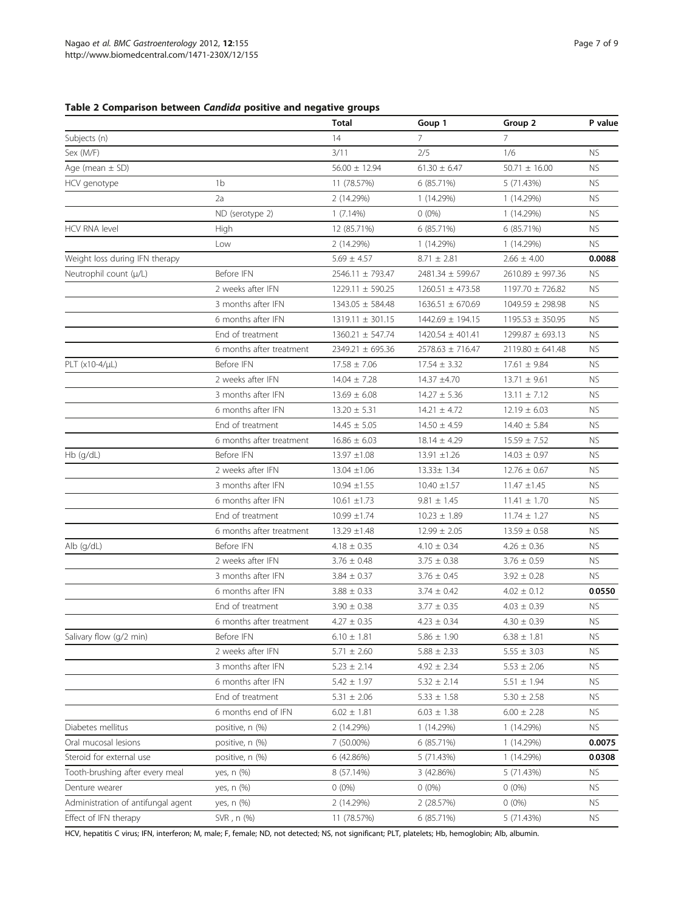## <span id="page-6-0"></span>Table 2 Comparison between Candida positive and negative groups

|                                    |                          | <b>Total</b>         | Goup 1               | Group 2              | P value   |
|------------------------------------|--------------------------|----------------------|----------------------|----------------------|-----------|
| Subjects (n)                       |                          | 14                   | 7                    | 7                    |           |
| Sex (M/F)                          |                          | 3/11                 | 2/5                  | 1/6                  | <b>NS</b> |
| Age (mean $\pm$ SD)                |                          | $56.00 \pm 12.94$    | $61.30 \pm 6.47$     | $50.71 \pm 16.00$    | <b>NS</b> |
| HCV genotype                       | 1 <sub>b</sub>           | 11 (78.57%)          | 6 (85.71%)           | 5 (71.43%)           | <b>NS</b> |
|                                    | 2a                       | 2 (14.29%)           | 1 (14.29%)           | 1 (14.29%)           | <b>NS</b> |
|                                    | ND (serotype 2)          | $1(7.14\%)$          | $0(0\%)$             | 1 (14.29%)           | <b>NS</b> |
| <b>HCV RNA level</b>               | High                     | 12 (85.71%)          | 6 (85.71%)           | 6 (85.71%)           | <b>NS</b> |
|                                    | Low                      | 2 (14.29%)           | 1 (14.29%)           | 1 (14.29%)           | <b>NS</b> |
| Weight loss during IFN therapy     |                          | $5.69 \pm 4.57$      | $8.71 \pm 2.81$      | $2.66 \pm 4.00$      | 0.0088    |
| Neutrophil count (µ/L)             | Before IFN               | 2546.11 ± 793.47     | 2481.34 ± 599.67     | 2610.89 ± 997.36     | <b>NS</b> |
|                                    | 2 weeks after IFN        | $1229.11 \pm 590.25$ | $1260.51 \pm 473.58$ | 1197.70 ± 726.82     | <b>NS</b> |
|                                    | 3 months after IFN       | 1343.05 ± 584.48     | $1636.51 \pm 670.69$ | 1049.59 ± 298.98     | <b>NS</b> |
|                                    | 6 months after IFN       | $1319.11 \pm 301.15$ | 1442.69 ± 194.15     | $1195.53 \pm 350.95$ | <b>NS</b> |
|                                    | End of treatment         | 1360.21 ± 547.74     | $1420.54 \pm 401.41$ | $1299.87 \pm 693.13$ | <b>NS</b> |
|                                    | 6 months after treatment | $2349.21 \pm 695.36$ | $2578.63 \pm 716.47$ | $2119.80 \pm 641.48$ | <b>NS</b> |
| $PLT (x10-4/µL)$                   | Before IFN               | $17.58 \pm 7.06$     | $17.54 \pm 3.32$     | $17.61 \pm 9.84$     | <b>NS</b> |
|                                    | 2 weeks after IFN        | $14.04 \pm 7.28$     | 14.37 ±4.70          | $13.71 \pm 9.61$     | <b>NS</b> |
|                                    | 3 months after IFN       | $13.69 \pm 6.08$     | $14.27 \pm 5.36$     | $13.11 \pm 7.12$     | <b>NS</b> |
|                                    | 6 months after IFN       | $13.20 \pm 5.31$     | $14.21 \pm 4.72$     | $12.19 \pm 6.03$     | <b>NS</b> |
|                                    | End of treatment         | $14.45 \pm 5.05$     | $14.50 \pm 4.59$     | $14.40 \pm 5.84$     | <b>NS</b> |
|                                    | 6 months after treatment | $16.86 \pm 6.03$     | $18.14 \pm 4.29$     | $15.59 \pm 7.52$     | <b>NS</b> |
| Hb (g/dL)                          | Before IFN               | $13.97 \pm 1.08$     | $13.91 \pm 1.26$     | $14.03 \pm 0.97$     | <b>NS</b> |
|                                    | 2 weeks after IFN        | $13.04 \pm 1.06$     | 13.33± 1.34          | $12.76 \pm 0.67$     | <b>NS</b> |
|                                    | 3 months after IFN       | $10.94 \pm 1.55$     | $10.40 \pm 1.57$     | $11.47 \pm 1.45$     | <b>NS</b> |
|                                    | 6 months after IFN       | $10.61 \pm 1.73$     | $9.81 \pm 1.45$      | $11.41 \pm 1.70$     | <b>NS</b> |
|                                    | End of treatment         | $10.99 \pm 1.74$     | $10.23 \pm 1.89$     | $11.74 \pm 1.27$     | <b>NS</b> |
|                                    | 6 months after treatment | $13.29 \pm 1.48$     | $12.99 \pm 2.05$     | $13.59 \pm 0.58$     | <b>NS</b> |
| Alb (q/dL)                         | Before IFN               | $4.18 \pm 0.35$      | $4.10 \pm 0.34$      | $4.26 \pm 0.36$      | <b>NS</b> |
|                                    | 2 weeks after IFN        | $3.76 \pm 0.48$      | $3.75 \pm 0.38$      | $3.76 \pm 0.59$      | <b>NS</b> |
|                                    | 3 months after IFN       | $3.84 \pm 0.37$      | $3.76 \pm 0.45$      | $3.92 \pm 0.28$      | <b>NS</b> |
|                                    | 6 months after IFN       | $3.88 \pm 0.33$      | $3.74 \pm 0.42$      | $4.02 \pm 0.12$      | 0.0550    |
|                                    | End of treatment         | $3.90 \pm 0.38$      | $3.77 \pm 0.35$      | $4.03 \pm 0.39$      | <b>NS</b> |
|                                    | 6 months after treatment | $4.27 \pm 0.35$      | $4.23 \pm 0.34$      | $4.30 \pm 0.39$      | <b>NS</b> |
| Salivary flow (g/2 min)            | Before IFN               | $6.10 \pm 1.81$      | $5.86 \pm 1.90$      | $6.38 \pm 1.81$      | NS.       |
|                                    | 2 weeks after IFN        | $5.71 \pm 2.60$      | $5.88 \pm 2.33$      | $5.55 \pm 3.03$      | <b>NS</b> |
|                                    | 3 months after IFN       | $5.23 \pm 2.14$      | $4.92 \pm 2.34$      | $5.53 \pm 2.06$      | <b>NS</b> |
|                                    | 6 months after IFN       | $5.42 \pm 1.97$      | $5.32 \pm 2.14$      | $5.51 \pm 1.94$      | NS.       |
|                                    | End of treatment         | $5.31 \pm 2.06$      | $5.33 \pm 1.58$      | $5.30 \pm 2.58$      | <b>NS</b> |
|                                    | 6 months end of IFN      | $6.02 \pm 1.81$      | $6.03 \pm 1.38$      | $6.00 \pm 2.28$      | <b>NS</b> |
| Diabetes mellitus                  | positive, n (%)          | 2 (14.29%)           | 1 (14.29%)           | 1 (14.29%)           | <b>NS</b> |
| Oral mucosal lesions               | positive, n (%)          | 7 (50.00%)           | 6 (85.71%)           | 1 (14.29%)           | 0.0075    |
| Steroid for external use           | positive, n (%)          | 6 (42.86%)           | 5 (71.43%)           | 1 (14.29%)           | 0.0308    |
| Tooth-brushing after every meal    | yes, n (%)               | 8 (57.14%)           | 3 (42.86%)           | 5 (71.43%)           | <b>NS</b> |
| Denture wearer                     | yes, n (%)               | $0(0\%)$             | $0(0\%)$             | $0(0\%)$             | <b>NS</b> |
| Administration of antifungal agent | yes, n (%)               | 2 (14.29%)           | 2 (28.57%)           | $0(0\%)$             | <b>NS</b> |
| Effect of IFN therapy              | SVR, n (%)               | 11 (78.57%)          | 6 (85.71%)           | 5 (71.43%)           | <b>NS</b> |

HCV, hepatitis C virus; IFN, interferon; M, male; F, female; ND, not detected; NS, not significant; PLT, platelets; Hb, hemoglobin; Alb, albumin.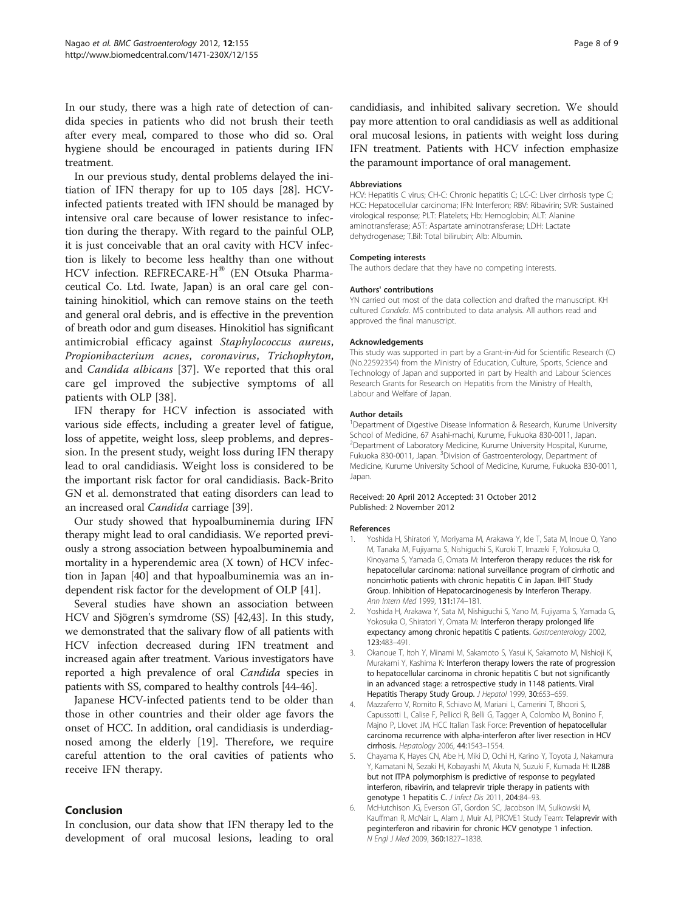<span id="page-7-0"></span>In our study, there was a high rate of detection of candida species in patients who did not brush their teeth after every meal, compared to those who did so. Oral hygiene should be encouraged in patients during IFN treatment.

In our previous study, dental problems delayed the initiation of IFN therapy for up to 105 days [\[28\]](#page-8-0). HCVinfected patients treated with IFN should be managed by intensive oral care because of lower resistance to infection during the therapy. With regard to the painful OLP, it is just conceivable that an oral cavity with HCV infection is likely to become less healthy than one without HCV infection. REFRECARE-H® (EN Otsuka Pharmaceutical Co. Ltd. Iwate, Japan) is an oral care gel containing hinokitiol, which can remove stains on the teeth and general oral debris, and is effective in the prevention of breath odor and gum diseases. Hinokitiol has significant antimicrobial efficacy against Staphylococcus aureus, Propionibacterium acnes, coronavirus, Trichophyton, and Candida albicans [[37\]](#page-8-0). We reported that this oral care gel improved the subjective symptoms of all patients with OLP [\[38](#page-8-0)].

IFN therapy for HCV infection is associated with various side effects, including a greater level of fatigue, loss of appetite, weight loss, sleep problems, and depression. In the present study, weight loss during IFN therapy lead to oral candidiasis. Weight loss is considered to be the important risk factor for oral candidiasis. Back-Brito GN et al. demonstrated that eating disorders can lead to an increased oral Candida carriage [\[39\]](#page-8-0).

Our study showed that hypoalbuminemia during IFN therapy might lead to oral candidiasis. We reported previously a strong association between hypoalbuminemia and mortality in a hyperendemic area (X town) of HCV infection in Japan [[40](#page-8-0)] and that hypoalbuminemia was an independent risk factor for the development of OLP [[41](#page-8-0)].

Several studies have shown an association between HCV and Sjögren's symdrome (SS) [[42,43\]](#page-8-0). In this study, we demonstrated that the salivary flow of all patients with HCV infection decreased during IFN treatment and increased again after treatment. Various investigators have reported a high prevalence of oral Candida species in patients with SS, compared to healthy controls [\[44](#page-8-0)-[46](#page-8-0)].

Japanese HCV-infected patients tend to be older than those in other countries and their older age favors the onset of HCC. In addition, oral candidiasis is underdiagnosed among the elderly [[19\]](#page-8-0). Therefore, we require careful attention to the oral cavities of patients who receive IFN therapy.

## Conclusion

In conclusion, our data show that IFN therapy led to the development of oral mucosal lesions, leading to oral candidiasis, and inhibited salivary secretion. We should pay more attention to oral candidiasis as well as additional oral mucosal lesions, in patients with weight loss during IFN treatment. Patients with HCV infection emphasize the paramount importance of oral management.

#### Abbreviations

HCV: Hepatitis C virus; CH-C: Chronic hepatitis C; LC-C: Liver cirrhosis type C; HCC: Hepatocellular carcinoma; IFN: Interferon; RBV: Ribavirin; SVR: Sustained virological response; PLT: Platelets; Hb: Hemoglobin; ALT: Alanine aminotransferase; AST: Aspartate aminotransferase; LDH: Lactate dehydrogenase; T.Bil: Total bilirubin; Alb: Albumin.

#### Competing interests

The authors declare that they have no competing interests.

#### Authors' contributions

YN carried out most of the data collection and drafted the manuscript. KH cultured Candida. MS contributed to data analysis. All authors read and approved the final manuscript.

#### Acknowledgements

This study was supported in part by a Grant-in-Aid for Scientific Research (C) (No.22592354) from the Ministry of Education, Culture, Sports, Science and Technology of Japan and supported in part by Health and Labour Sciences Research Grants for Research on Hepatitis from the Ministry of Health, Labour and Welfare of Japan.

#### Author details

<sup>1</sup>Department of Digestive Disease Information & Research, Kurume University School of Medicine, 67 Asahi-machi, Kurume, Fukuoka 830-0011, Japan. <sup>2</sup> Department of Laboratory Medicine, Kurume University Hospital, Kurume, Fukuoka 830-0011, Japan. <sup>3</sup> Division of Gastroenterology, Department of Medicine, Kurume University School of Medicine, Kurume, Fukuoka 830-0011, Japan.

#### Received: 20 April 2012 Accepted: 31 October 2012 Published: 2 November 2012

#### References

- 1. Yoshida H, Shiratori Y, Moriyama M, Arakawa Y, Ide T, Sata M, Inoue O, Yano M, Tanaka M, Fujiyama S, Nishiguchi S, Kuroki T, Imazeki F, Yokosuka O, Kinoyama S, Yamada G, Omata M: Interferon therapy reduces the risk for hepatocellular carcinoma: national surveillance program of cirrhotic and noncirrhotic patients with chronic hepatitis C in Japan. IHIT Study Group. Inhibition of Hepatocarcinogenesis by Interferon Therapy. Ann Intern Med 1999, 131:174–181.
- 2. Yoshida H, Arakawa Y, Sata M, Nishiguchi S, Yano M, Fujiyama S, Yamada G, Yokosuka O, Shiratori Y, Omata M: Interferon therapy prolonged life expectancy among chronic hepatitis C patients. Gastroenterology 2002, 123:483–491.
- 3. Okanoue T, Itoh Y, Minami M, Sakamoto S, Yasui K, Sakamoto M, Nishioji K, Murakami Y, Kashima K: Interferon therapy lowers the rate of progression to hepatocellular carcinoma in chronic hepatitis C but not significantly in an advanced stage: a retrospective study in 1148 patients. Viral Hepatitis Therapy Study Group. J Hepatol 1999, 30:653–659.
- 4. Mazzaferro V, Romito R, Schiavo M, Mariani L, Camerini T, Bhoori S, Capussotti L, Calise F, Pellicci R, Belli G, Tagger A, Colombo M, Bonino F, Majno P, Llovet JM, HCC Italian Task Force: Prevention of hepatocellular carcinoma recurrence with alpha-interferon after liver resection in HCV cirrhosis. Hepatology 2006, 44:1543–1554.
- 5. Chayama K, Hayes CN, Abe H, Miki D, Ochi H, Karino Y, Toyota J, Nakamura Y, Kamatani N, Sezaki H, Kobayashi M, Akuta N, Suzuki F, Kumada H: IL28B but not ITPA polymorphism is predictive of response to pegylated interferon, ribavirin, and telaprevir triple therapy in patients with genotype 1 hepatitis C. J Infect Dis 2011, 204:84-93.
- 6. McHutchison JG, Everson GT, Gordon SC, Jacobson IM, Sulkowski M, Kauffman R, McNair L, Alam J, Muir AJ, PROVE1 Study Team: Telaprevir with peginterferon and ribavirin for chronic HCV genotype 1 infection. N Engl J Med 2009, 360:1827–1838.